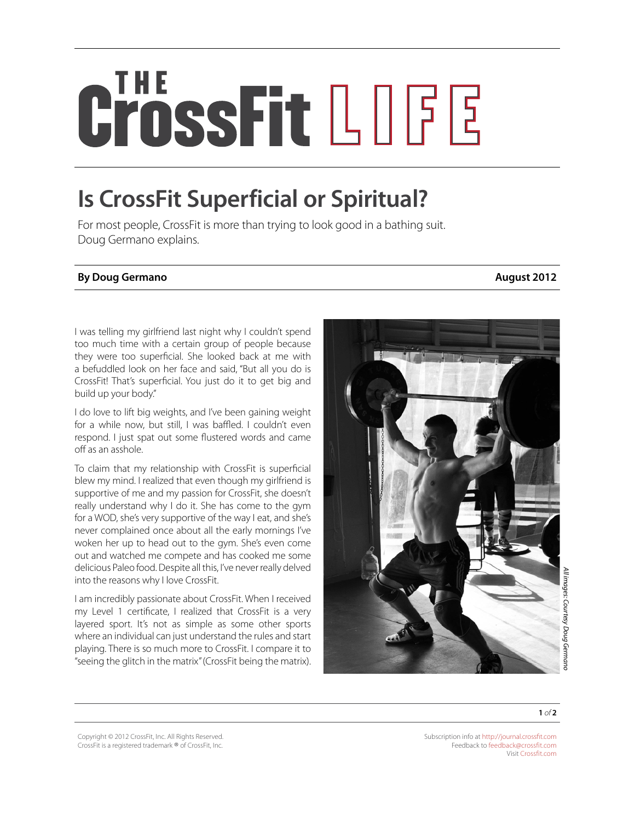## CrossFit LOGE

## **Is CrossFit Superficial or Spiritual?**

For most people, CrossFit is more than trying to look good in a bathing suit. Doug Germano explains.

## **By Doug Germano August 2012**

I was telling my girlfriend last night why I couldn't spend too much time with a certain group of people because they were too superficial. She looked back at me with a befuddled look on her face and said, "But all you do is CrossFit! That's superficial. You just do it to get big and build up your body."

I do love to lift big weights, and I've been gaining weight for a while now, but still, I was baffled. I couldn't even respond. I just spat out some flustered words and came off as an asshole.

To claim that my relationship with CrossFit is superficial blew my mind. I realized that even though my girlfriend is supportive of me and my passion for CrossFit, she doesn't really understand why I do it. She has come to the gym for a WOD, she's very supportive of the way I eat, and she's never complained once about all the early mornings I've woken her up to head out to the gym. She's even come out and watched me compete and has cooked me some delicious Paleo food. Despite all this, I've never really delved into the reasons why I love CrossFit.

I am incredibly passionate about CrossFit. When I received my Level 1 certificate, I realized that CrossFit is a very layered sport. It's not as simple as some other sports where an individual can just understand the rules and start playing. There is so much more to CrossFit. I compare it to "seeing the glitch in the matrix" (CrossFit being the matrix).





**1** *of* **2**

Copyright © 2012 CrossFit, Inc. All Rights Reserved. CrossFit is a registered trademark ® of CrossFit, Inc.

Subscription info at <http://journal.crossfit.com> Feedback to [feedback@crossfit.com](mailto:feedback@crossfit.com) Visit [Crossfit.com](http://crossfit.com/)